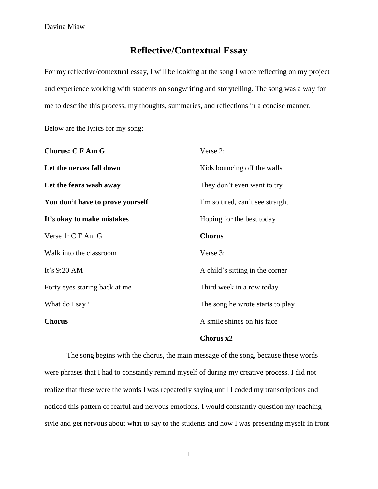## **Reflective/Contextual Essay**

For my reflective/contextual essay, I will be looking at the song I wrote reflecting on my project and experience working with students on songwriting and storytelling. The song was a way for me to describe this process, my thoughts, summaries, and reflections in a concise manner.

Below are the lyrics for my song:

| <b>Chorus: CFAmG</b>             | Verse 2:                         |
|----------------------------------|----------------------------------|
| Let the nerves fall down         | Kids bouncing off the walls      |
| Let the fears wash away          | They don't even want to try      |
| You don't have to prove yourself | I'm so tired, can't see straight |
| It's okay to make mistakes       | Hoping for the best today        |
| Verse 1: C F Am G                | <b>Chorus</b>                    |
| Walk into the classroom          | Verse 3:                         |
| It's 9:20 AM                     | A child's sitting in the corner  |
| Forty eyes staring back at me    | Third week in a row today        |
| What do I say?                   | The song he wrote starts to play |
| <b>Chorus</b>                    | A smile shines on his face       |
|                                  |                                  |

## **Chorus x2**

The song begins with the chorus, the main message of the song, because these words were phrases that I had to constantly remind myself of during my creative process. I did not realize that these were the words I was repeatedly saying until I coded my transcriptions and noticed this pattern of fearful and nervous emotions. I would constantly question my teaching style and get nervous about what to say to the students and how I was presenting myself in front

1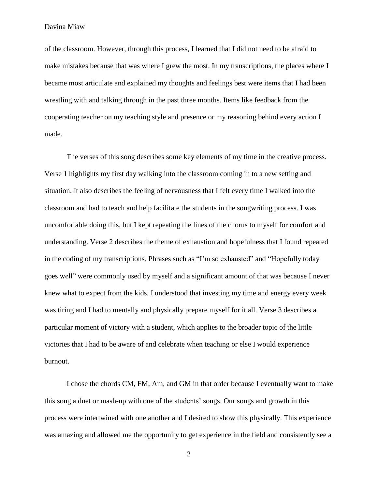Davina Miaw

of the classroom. However, through this process, I learned that I did not need to be afraid to make mistakes because that was where I grew the most. In my transcriptions, the places where I became most articulate and explained my thoughts and feelings best were items that I had been wrestling with and talking through in the past three months. Items like feedback from the cooperating teacher on my teaching style and presence or my reasoning behind every action I made.

The verses of this song describes some key elements of my time in the creative process. Verse 1 highlights my first day walking into the classroom coming in to a new setting and situation. It also describes the feeling of nervousness that I felt every time I walked into the classroom and had to teach and help facilitate the students in the songwriting process. I was uncomfortable doing this, but I kept repeating the lines of the chorus to myself for comfort and understanding. Verse 2 describes the theme of exhaustion and hopefulness that I found repeated in the coding of my transcriptions. Phrases such as "I'm so exhausted" and "Hopefully today goes well" were commonly used by myself and a significant amount of that was because I never knew what to expect from the kids. I understood that investing my time and energy every week was tiring and I had to mentally and physically prepare myself for it all. Verse 3 describes a particular moment of victory with a student, which applies to the broader topic of the little victories that I had to be aware of and celebrate when teaching or else I would experience burnout.

I chose the chords CM, FM, Am, and GM in that order because I eventually want to make this song a duet or mash-up with one of the students' songs. Our songs and growth in this process were intertwined with one another and I desired to show this physically. This experience was amazing and allowed me the opportunity to get experience in the field and consistently see a

2